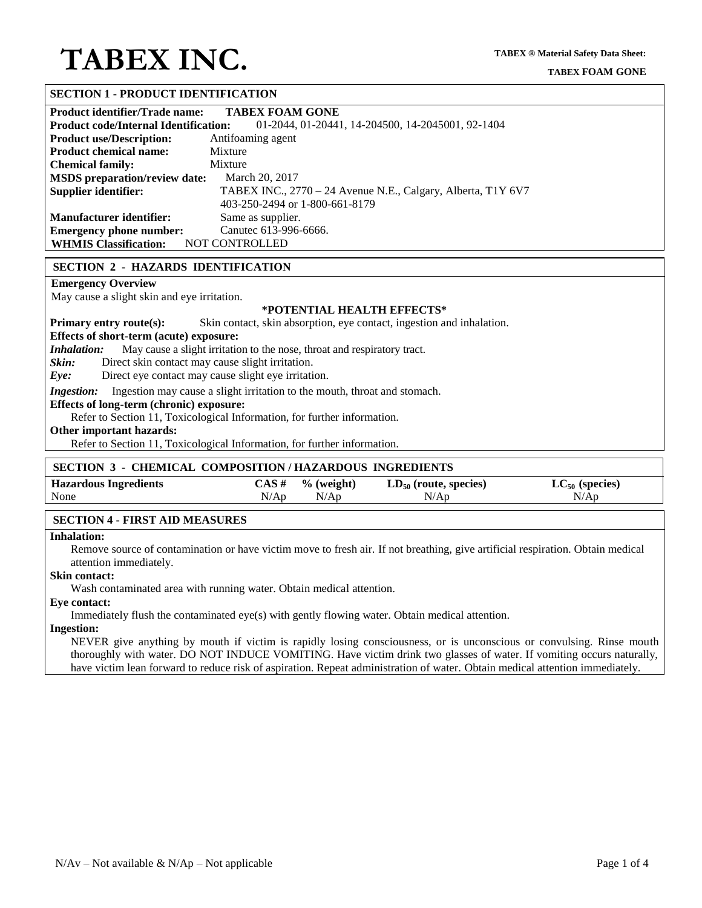# **TABEX INC.**

## **SECTION 1 - PRODUCT IDENTIFICATION**

| <b>Product identifier/Trade name:</b>        | <b>TABEX FOAM GONE</b>                                       |
|----------------------------------------------|--------------------------------------------------------------|
| <b>Product code/Internal Identification:</b> | 01-2044, 01-20441, 14-204500, 14-2045001, 92-1404            |
| <b>Product use/Description:</b>              | Antifoaming agent                                            |
| <b>Product chemical name:</b>                | Mixture                                                      |
| <b>Chemical family:</b>                      | Mixture                                                      |
| <b>MSDS</b> preparation/review date:         | March 20, 2017                                               |
| Supplier identifier:                         | TABEX INC., 2770 - 24 Avenue N.E., Calgary, Alberta, T1Y 6V7 |
|                                              | 403-250-2494 or 1-800-661-8179                               |
| <b>Manufacturer identifier:</b>              | Same as supplier.                                            |
| <b>Emergency phone number:</b>               | Canutec 613-996-6666.                                        |
| <b>WHMIS Classification:</b>                 | <b>NOT CONTROLLED</b>                                        |

### **SECTION 2 - HAZARDS IDENTIFICATION**

## **Emergency Overview**

May cause a slight skin and eye irritation.

### **\*POTENTIAL HEALTH EFFECTS\***

**Primary entry route(s):** Skin contact, skin absorption, eye contact, ingestion and inhalation.

**Effects of short-term (acute) exposure:**

*Inhalation:* May cause a slight irritation to the nose, throat and respiratory tract.

*Skin:* Direct skin contact may cause slight irritation.

*Eye:* Direct eye contact may cause slight eye irritation.

*Ingestion:* Ingestion may cause a slight irritation to the mouth, throat and stomach.

**Effects of long-term (chronic) exposure:**

Refer to Section 11, Toxicological Information, for further information.

## **Other important hazards:**

Refer to Section 11, Toxicological Information, for further information.

### **SECTION 3 - CHEMICAL COMPOSITION / HAZARDOUS INGREDIENTS**

| <b>Hazardous Ingredients</b> | CAS # | $%$ (weight) | $LD_{50}$ (route, species) | $LC_{50}$ (species) |
|------------------------------|-------|--------------|----------------------------|---------------------|
| None                         | N/Ap  | N/An         | N/AD                       | N/Ap                |

### **SECTION 4 - FIRST AID MEASURES**

## **Inhalation:**

Remove source of contamination or have victim move to fresh air. If not breathing, give artificial respiration. Obtain medical attention immediately.

#### **Skin contact:**

Wash contaminated area with running water. Obtain medical attention.

#### **Eye contact:**

Immediately flush the contaminated eye(s) with gently flowing water. Obtain medical attention.

#### **Ingestion:**

NEVER give anything by mouth if victim is rapidly losing consciousness, or is unconscious or convulsing. Rinse mouth thoroughly with water. DO NOT INDUCE VOMITING. Have victim drink two glasses of water. If vomiting occurs naturally, have victim lean forward to reduce risk of aspiration. Repeat administration of water. Obtain medical attention immediately.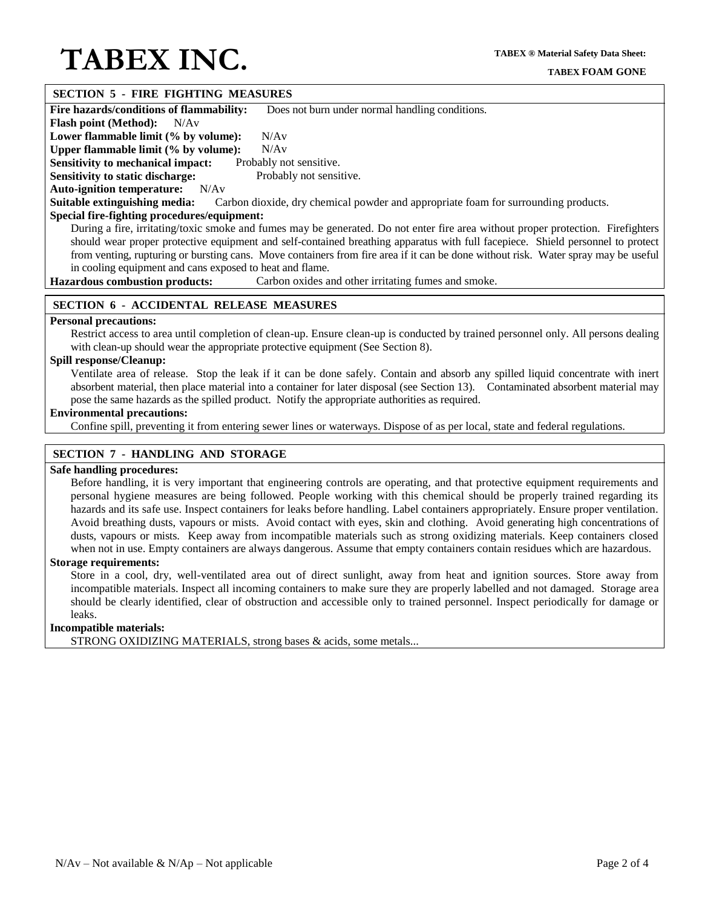# **TABEX INC.**

# **SECTION 5 - FIRE FIGHTING MEASURES**

**Fire hazards/conditions of flammability:** Does not burn under normal handling conditions.

**Flash point (Method):** N/Av

Lower flammable limit (% by volume): N/Av

**Upper flammable limit (% by volume):** N/Av

**Sensitivity to mechanical impact:** Probably not sensitive. **Sensitivity to static discharge:** Probably not sensitive.

**Auto-ignition temperature:** N/Av

**Suitable extinguishing media:** Carbon dioxide, dry chemical powder and appropriate foam for surrounding products.

# **Special fire-fighting procedures/equipment:**

During a fire, irritating/toxic smoke and fumes may be generated. Do not enter fire area without proper protection. Firefighters should wear proper protective equipment and self-contained breathing apparatus with full facepiece. Shield personnel to protect from venting, rupturing or bursting cans. Move containers from fire area if it can be done without risk. Water spray may be useful in cooling equipment and cans exposed to heat and flame.

**Hazardous combustion products:** Carbon oxides and other irritating fumes and smoke.

## **SECTION 6 - ACCIDENTAL RELEASE MEASURES**

## **Personal precautions:**

Restrict access to area until completion of clean-up. Ensure clean-up is conducted by trained personnel only. All persons dealing with clean-up should wear the appropriate protective equipment (See Section 8).

## **Spill response/Cleanup:**

Ventilate area of release. Stop the leak if it can be done safely. Contain and absorb any spilled liquid concentrate with inert absorbent material, then place material into a container for later disposal (see Section 13). Contaminated absorbent material may pose the same hazards as the spilled product. Notify the appropriate authorities as required.

## **Environmental precautions:**

Confine spill, preventing it from entering sewer lines or waterways. Dispose of as per local, state and federal regulations.

# **SECTION 7 - HANDLING AND STORAGE**

## **Safe handling procedures:**

Before handling, it is very important that engineering controls are operating, and that protective equipment requirements and personal hygiene measures are being followed. People working with this chemical should be properly trained regarding its hazards and its safe use. Inspect containers for leaks before handling. Label containers appropriately. Ensure proper ventilation. Avoid breathing dusts, vapours or mists. Avoid contact with eyes, skin and clothing. Avoid generating high concentrations of dusts, vapours or mists. Keep away from incompatible materials such as strong oxidizing materials. Keep containers closed when not in use. Empty containers are always dangerous. Assume that empty containers contain residues which are hazardous.

### **Storage requirements:**

Store in a cool, dry, well-ventilated area out of direct sunlight, away from heat and ignition sources. Store away from incompatible materials. Inspect all incoming containers to make sure they are properly labelled and not damaged. Storage area should be clearly identified, clear of obstruction and accessible only to trained personnel. Inspect periodically for damage or leaks.

## **Incompatible materials:**

STRONG OXIDIZING MATERIALS, strong bases & acids, some metals...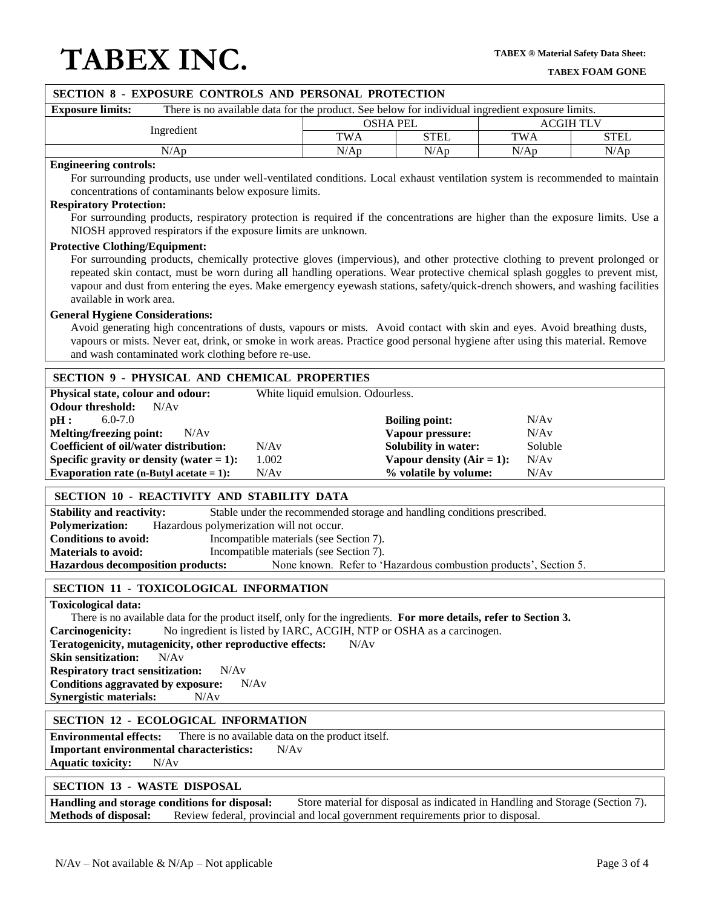# **TABEX INC.**

| SECTION 8 - EXPOSURE CONTROLS AND PERSONAL PROTECTION                                                                                                                                                                                                     |                                                                                                  |                                                                       |                  |             |  |  |  |  |  |
|-----------------------------------------------------------------------------------------------------------------------------------------------------------------------------------------------------------------------------------------------------------|--------------------------------------------------------------------------------------------------|-----------------------------------------------------------------------|------------------|-------------|--|--|--|--|--|
| <b>Exposure limits:</b>                                                                                                                                                                                                                                   | There is no available data for the product. See below for individual ingredient exposure limits. |                                                                       |                  |             |  |  |  |  |  |
| Ingredient                                                                                                                                                                                                                                                | <b>OSHA PEL</b>                                                                                  |                                                                       | <b>ACGIH TLV</b> |             |  |  |  |  |  |
|                                                                                                                                                                                                                                                           | <b>TWA</b>                                                                                       | <b>STEL</b>                                                           | <b>TWA</b>       | <b>STEL</b> |  |  |  |  |  |
| N/Ap                                                                                                                                                                                                                                                      | N/Ap                                                                                             | N/Ap                                                                  | N/Ap             | N/Ap        |  |  |  |  |  |
| <b>Engineering controls:</b>                                                                                                                                                                                                                              |                                                                                                  |                                                                       |                  |             |  |  |  |  |  |
| For surrounding products, use under well-ventilated conditions. Local exhaust ventilation system is recommended to maintain                                                                                                                               |                                                                                                  |                                                                       |                  |             |  |  |  |  |  |
| concentrations of contaminants below exposure limits.                                                                                                                                                                                                     |                                                                                                  |                                                                       |                  |             |  |  |  |  |  |
| <b>Respiratory Protection:</b><br>For surrounding products, respiratory protection is required if the concentrations are higher than the exposure limits. Use a                                                                                           |                                                                                                  |                                                                       |                  |             |  |  |  |  |  |
| NIOSH approved respirators if the exposure limits are unknown.                                                                                                                                                                                            |                                                                                                  |                                                                       |                  |             |  |  |  |  |  |
| <b>Protective Clothing/Equipment:</b>                                                                                                                                                                                                                     |                                                                                                  |                                                                       |                  |             |  |  |  |  |  |
| For surrounding products, chemically protective gloves (impervious), and other protective clothing to prevent prolonged or                                                                                                                                |                                                                                                  |                                                                       |                  |             |  |  |  |  |  |
| repeated skin contact, must be worn during all handling operations. Wear protective chemical splash goggles to prevent mist,                                                                                                                              |                                                                                                  |                                                                       |                  |             |  |  |  |  |  |
| vapour and dust from entering the eyes. Make emergency eyewash stations, safety/quick-drench showers, and washing facilities                                                                                                                              |                                                                                                  |                                                                       |                  |             |  |  |  |  |  |
| available in work area.                                                                                                                                                                                                                                   |                                                                                                  |                                                                       |                  |             |  |  |  |  |  |
| <b>General Hygiene Considerations:</b>                                                                                                                                                                                                                    |                                                                                                  |                                                                       |                  |             |  |  |  |  |  |
| Avoid generating high concentrations of dusts, vapours or mists. Avoid contact with skin and eyes. Avoid breathing dusts,<br>vapours or mists. Never eat, drink, or smoke in work areas. Practice good personal hygiene after using this material. Remove |                                                                                                  |                                                                       |                  |             |  |  |  |  |  |
|                                                                                                                                                                                                                                                           |                                                                                                  |                                                                       |                  |             |  |  |  |  |  |
| and wash contaminated work clothing before re-use.                                                                                                                                                                                                        |                                                                                                  |                                                                       |                  |             |  |  |  |  |  |
| SECTION 9 - PHYSICAL AND CHEMICAL PROPERTIES                                                                                                                                                                                                              |                                                                                                  |                                                                       |                  |             |  |  |  |  |  |
| Physical state, colour and odour:                                                                                                                                                                                                                         | White liquid emulsion. Odourless.                                                                |                                                                       |                  |             |  |  |  |  |  |
| N/Av<br><b>Odour threshold:</b>                                                                                                                                                                                                                           |                                                                                                  |                                                                       |                  |             |  |  |  |  |  |
| $6.0 - 7.0$<br>pH:                                                                                                                                                                                                                                        |                                                                                                  | <b>Boiling point:</b>                                                 | N/Av             |             |  |  |  |  |  |
| <b>Melting/freezing point:</b><br>N/Av                                                                                                                                                                                                                    |                                                                                                  | N/Av<br>Vapour pressure:                                              |                  |             |  |  |  |  |  |
| Coefficient of oil/water distribution:<br>N/Av                                                                                                                                                                                                            |                                                                                                  | <b>Solubility in water:</b><br>Soluble                                |                  |             |  |  |  |  |  |
| Specific gravity or density (water $= 1$ ):<br>1.002<br>N/Av<br>Evaporation rate (n-Butyl acetate $= 1$ ):                                                                                                                                                |                                                                                                  | Vapour density $(Air = 1)$ :<br>N/Av<br>% volatile by volume:<br>N/Av |                  |             |  |  |  |  |  |
|                                                                                                                                                                                                                                                           |                                                                                                  |                                                                       |                  |             |  |  |  |  |  |
| SECTION 10 - REACTIVITY AND STABILITY DATA                                                                                                                                                                                                                |                                                                                                  |                                                                       |                  |             |  |  |  |  |  |
| Stable under the recommended storage and handling conditions prescribed.<br><b>Stability and reactivity:</b>                                                                                                                                              |                                                                                                  |                                                                       |                  |             |  |  |  |  |  |
| Hazardous polymerization will not occur.<br><b>Polymerization:</b>                                                                                                                                                                                        |                                                                                                  |                                                                       |                  |             |  |  |  |  |  |
| <b>Conditions to avoid:</b><br>Incompatible materials (see Section 7).                                                                                                                                                                                    |                                                                                                  |                                                                       |                  |             |  |  |  |  |  |
| Incompatible materials (see Section 7).<br><b>Materials to avoid:</b>                                                                                                                                                                                     |                                                                                                  |                                                                       |                  |             |  |  |  |  |  |
| <b>Hazardous decomposition products:</b>                                                                                                                                                                                                                  |                                                                                                  | None known. Refer to 'Hazardous combustion products', Section 5.      |                  |             |  |  |  |  |  |
| SECTION 11 - TOXICOLOGICAL INFORMATION                                                                                                                                                                                                                    |                                                                                                  |                                                                       |                  |             |  |  |  |  |  |
| <b>Toxicological data:</b>                                                                                                                                                                                                                                |                                                                                                  |                                                                       |                  |             |  |  |  |  |  |
| There is no available data for the product itself, only for the ingredients. For more details, refer to Section 3.                                                                                                                                        |                                                                                                  |                                                                       |                  |             |  |  |  |  |  |
| No ingredient is listed by IARC, ACGIH, NTP or OSHA as a carcinogen.<br>Carcinogenicity:                                                                                                                                                                  |                                                                                                  |                                                                       |                  |             |  |  |  |  |  |
| Teratogenicity, mutagenicity, other reproductive effects:                                                                                                                                                                                                 | N/Av                                                                                             |                                                                       |                  |             |  |  |  |  |  |
| <b>Skin sensitization:</b><br>N/Av                                                                                                                                                                                                                        |                                                                                                  |                                                                       |                  |             |  |  |  |  |  |

**Respiratory tract sensitization:** N/Av

**Conditions aggravated by exposure:** N/Av

**Synergistic materials:** N/Av

# **SECTION 12 - ECOLOGICAL INFORMATION**

**Environmental effects:** There is no available data on the product itself. **Important environmental characteristics:** N/Av **Aquatic toxicity:** N/Av

### **SECTION 13 - WASTE DISPOSAL**

**Handling and storage conditions for disposal:** Store material for disposal as indicated in Handling and Storage (Section 7). **Methods of disposal:** Review federal, provincial and local government requirements prior to dis **Methods of disposal:** Review federal, provincial and local government requirements prior to disposal.